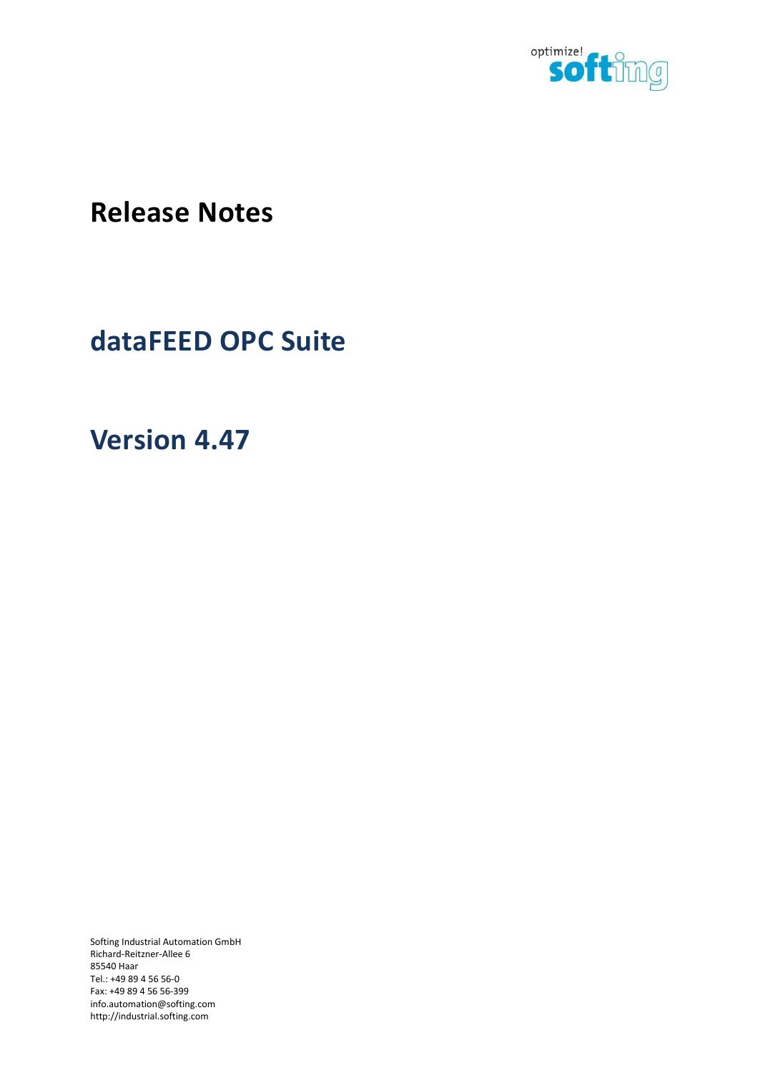

**Release Notes** 

## **dataFEED OPC Suite**

**Version 4.47** 

Softing Industrial Automation GmbH Richard-Reitzner-Allee 6 85540 Haar Tel.: +49 89 4 56 56-0 Fax: +49 89 4 56 56-399 info.automation@softing.com http://industrial.softing.com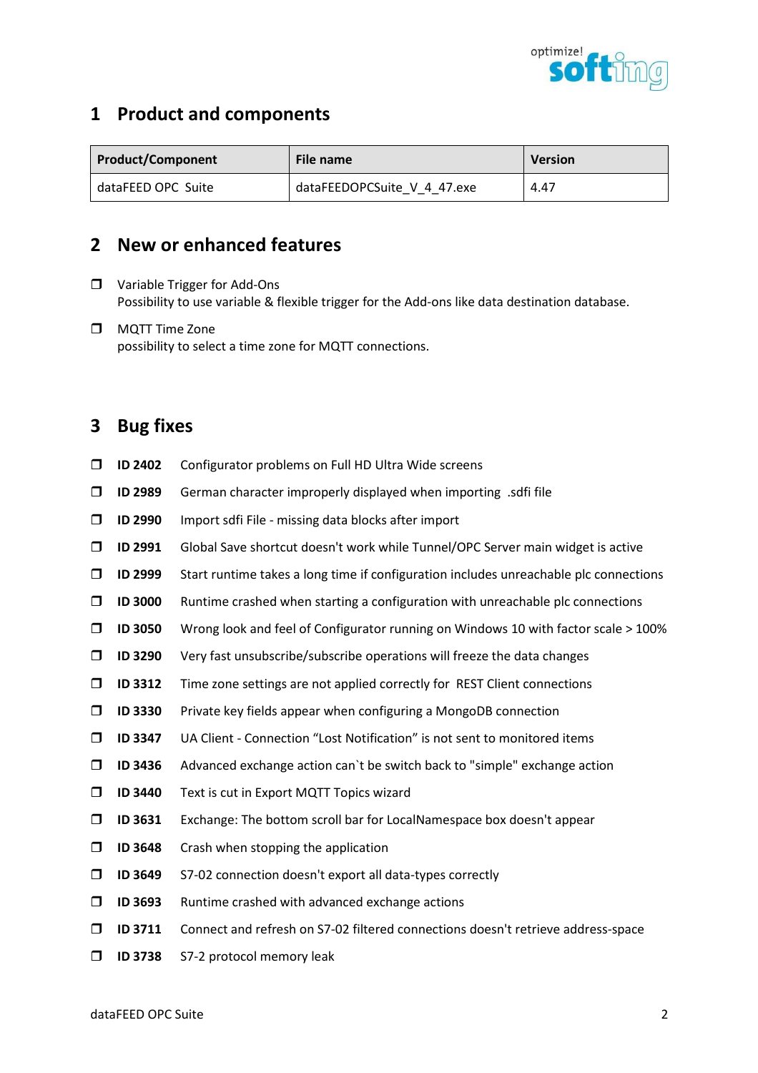

## **1 Product and components**

| <b>Product/Component</b> | File name                   | <b>Version</b> |
|--------------------------|-----------------------------|----------------|
| dataFEED OPC Suite       | dataFEEDOPCSuite V 4 47.exe | 4.47           |

## **2 New or enhanced features**

- □ Variable Trigger for Add-Ons Possibility to use variable & flexible trigger for the Add-ons like data destination database.
- **D** MQTT Time Zone possibility to select a time zone for MQTT connections.

## **3 Bug fixes**

- **ID 2402** Configurator problems on Full HD Ultra Wide screens
- **ID 2989** German character improperly displayed when importing .sdfi file
- **ID 2990** Import sdfi File missing data blocks after import
- **ID 2991** Global Save shortcut doesn't work while Tunnel/OPC Server main widget is active
- **ID 2999** Start runtime takes a long time if configuration includes unreachable plc connections
- **ID 3000** Runtime crashed when starting a configuration with unreachable plc connections
- **ID 3050** Wrong look and feel of Configurator running on Windows 10 with factor scale > 100%
- **ID 3290** Very fast unsubscribe/subscribe operations will freeze the data changes
- **ID 3312** Time zone settings are not applied correctly for REST Client connections
- **ID 3330** Private key fields appear when configuring a MongoDB connection
- **ID 3347** UA Client Connection "Lost Notification" is not sent to monitored items
- **ID 3436** Advanced exchange action can`t be switch back to "simple" exchange action
- **ID 3440** Text is cut in Export MQTT Topics wizard
- **ID 3631** Exchange: The bottom scroll bar for LocalNamespace box doesn't appear
- **ID 3648** Crash when stopping the application
- **ID 3649** S7-02 connection doesn't export all data-types correctly
- **ID 3693** Runtime crashed with advanced exchange actions
- **ID 3711** Connect and refresh on S7-02 filtered connections doesn't retrieve address-space
- **ID 3738** S7-2 protocol memory leak